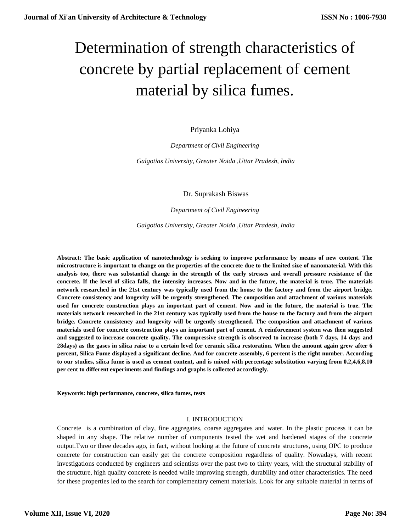# Determination of strength characteristics of concrete by partial replacement of cement material by silica fumes.

Priyanka Lohiya

*Department of Civil Engineering*

*Galgotias University, Greater Noida ,Uttar Pradesh, India*

Dr. Suprakash Biswas

*Department of Civil Engineering*

*Galgotias University, Greater Noida ,Uttar Pradesh, India*

**Abstract: The basic application of nanotechnology is seeking to improve performance by means of new content. The microstructure is important to change on the properties of the concrete due to the limited size of nanomaterial. With this analysis too, there was substantial change in the strength of the early stresses and overall pressure resistance of the concrete. If the level of silica falls, the intensity increases. Now and in the future, the material is true. The materials network researched in the 21st century was typically used from the house to the factory and from the airport bridge. Concrete consistency and longevity will be urgently strengthened. The composition and attachment of various materials used for concrete construction plays an important part of cement. Now and in the future, the material is true. The materials network researched in the 21st century was typically used from the house to the factory and from the airport bridge. Concrete consistency and longevity will be urgently strengthened. The composition and attachment of various materials used for concrete construction plays an important part of cement. A reinforcement system was then suggested and suggested to increase concrete quality. The compressive strength is observed to increase (both 7 days, 14 days and 28days) as the gases in silica raise to a certain level for ceramic silica restoration. When the amount again grew after 6 percent, Silica Fume displayed a significant decline. And for concrete assembly, 6 percent is the right number. According to our studies, silica fume is used as cement content, and is mixed with percentage substitution varying from 0.2,4,6,8,10 per cent to different experiments and findings and graphs is collected accordingly.**

**Keywords: high performance, concrete, silica fumes, tests**

## I. INTRODUCTION

Concrete is a combination of clay, fine aggregates, coarse aggregates and water. In the plastic process it can be shaped in any shape. The relative number of components tested the wet and hardened stages of the concrete output.Two or three decades ago, in fact, without looking at the future of concrete structures, using OPC to produce concrete for construction can easily get the concrete composition regardless of quality. Nowadays, with recent investigations conducted by engineers and scientists over the past two to thirty years, with the structural stability of the structure, high quality concrete is needed while improving strength, durability and other characteristics. The need for these properties led to the search for complementary cement materials. Look for any suitable material in terms of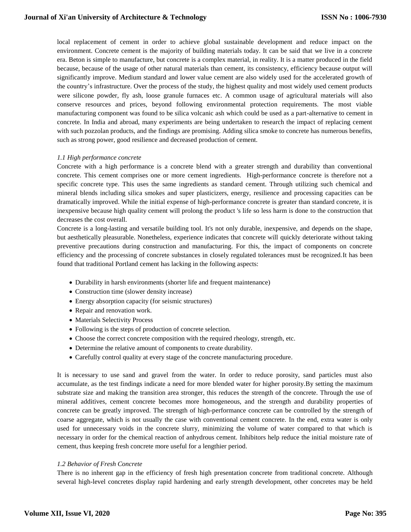local replacement of cement in order to achieve global sustainable development and reduce impact on the environment. Concrete cement is the majority of building materials today. It can be said that we live in a concrete era. Beton is simple to manufacture, but concrete is a complex material, in reality. It is a matter produced in the field because, because of the usage of other natural materials than cement, its consistency, efficiency because output will significantly improve. Medium standard and lower value cement are also widely used for the accelerated growth of the country's infrastructure. Over the process of the study, the highest quality and most widely used cement products were silicone powder, fly ash, loose granule furnaces etc. A common usage of agricultural materials will also conserve resources and prices, beyond following environmental protection requirements. The most viable manufacturing component was found to be silica volcanic ash which could be used as a part-alternative to cement in concrete. In India and abroad, many experiments are being undertaken to research the impact of replacing cement with such pozzolan products, and the findings are promising. Adding silica smoke to concrete has numerous benefits, such as strong power, good resilience and decreased production of cement.

## *1.1 High performance concrete*

Concrete with a high performance is a concrete blend with a greater strength and durability than conventional concrete. This cement comprises one or more cement ingredients. High-performance concrete is therefore not a specific concrete type. This uses the same ingredients as standard cement. Through utilizing such chemical and mineral blends including silica smokes and super plasticizers, energy, resilience and processing capacities can be dramatically improved. While the initial expense of high-performance concrete is greater than standard concrete, it is inexpensive because high quality cement will prolong the product 's life so less harm is done to the construction that decreases the cost overall.

Concrete is a long-lasting and versatile building tool. It's not only durable, inexpensive, and depends on the shape, but aesthetically pleasurable. Nonetheless, experience indicates that concrete will quickly deteriorate without taking preventive precautions during construction and manufacturing. For this, the impact of components on concrete efficiency and the processing of concrete substances in closely regulated tolerances must be recognized.It has been found that traditional Portland cement has lacking in the following aspects:

- Durability in harsh environments (shorter life and frequent maintenance)
- Construction time (slower density increase)
- Energy absorption capacity (for seismic structures)
- Repair and renovation work.
- Materials Selectivity Process
- Following is the steps of production of concrete selection.
- Choose the correct concrete composition with the required rheology, strength, etc.
- Determine the relative amount of components to create durability.
- Carefully control quality at every stage of the concrete manufacturing procedure.

It is necessary to use sand and gravel from the water. In order to reduce porosity, sand particles must also accumulate, as the test findings indicate a need for more blended water for higher porosity.By setting the maximum substrate size and making the transition area stronger, this reduces the strength of the concrete. Through the use of mineral additives, cement concrete becomes more homogeneous, and the strength and durability properties of concrete can be greatly improved. The strength of high-performance concrete can be controlled by the strength of coarse aggregate, which is not usually the case with conventional cement concrete. In the end, extra water is only used for unnecessary voids in the concrete slurry, minimizing the volume of water compared to that which is necessary in order for the chemical reaction of anhydrous cement. Inhibitors help reduce the initial moisture rate of cement, thus keeping fresh concrete more useful for a lengthier period.

## *1.2 Behavior of Fresh Concrete*

There is no inherent gap in the efficiency of fresh high presentation concrete from traditional concrete. Although several high-level concretes display rapid hardening and early strength development, other concretes may be held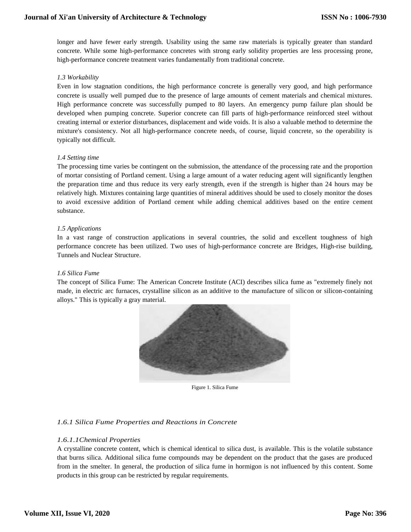longer and have fewer early strength. Usability using the same raw materials is typically greater than standard concrete. While some high-performance concretes with strong early solidity properties are less processing prone, high-performance concrete treatment varies fundamentally from traditional concrete.

## *1.3 Workability*

Even in low stagnation conditions, the high performance concrete is generally very good, and high performance concrete is usually well pumped due to the presence of large amounts of cement materials and chemical mixtures. High performance concrete was successfully pumped to 80 layers. An emergency pump failure plan should be developed when pumping concrete. Superior concrete can fill parts of high-performance reinforced steel without creating internal or exterior disturbances, displacement and wide voids. It is also a valuable method to determine the mixture's consistency. Not all high-performance concrete needs, of course, liquid concrete, so the operability is typically not difficult.

# *1.4 Setting time*

The processing time varies be contingent on the submission, the attendance of the processing rate and the proportion of mortar consisting of Portland cement. Using a large amount of a water reducing agent will significantly lengthen the preparation time and thus reduce its very early strength, even if the strength is higher than 24 hours may be relatively high. Mixtures containing large quantities of mineral additives should be used to closely monitor the doses to avoid excessive addition of Portland cement while adding chemical additives based on the entire cement substance.

# *1.5 Applications*

In a vast range of construction applications in several countries, the solid and excellent toughness of high performance concrete has been utilized. Two uses of high-performance concrete are Bridges, High-rise building, Tunnels and Nuclear Structure.

## *1.6 Silica Fume*

The concept of Silica Fume: The American Concrete Institute (ACI) describes silica fume as "extremely finely not made, in electric arc furnaces, crystalline silicon as an additive to the manufacture of silicon or silicon-containing alloys." This is typically a gray material.



Figure 1. Silica Fume

# *1.6.1 Silica Fume Properties and Reactions in Concrete*

## *1.6.1.1Chemical Properties*

A crystalline concrete content, which is chemical identical to silica dust, is available. This is the volatile substance that burns silica. Additional silica fume compounds may be dependent on the product that the gases are produced from in the smelter. In general, the production of silica fume in hormigon is not influenced by this content. Some products in this group can be restricted by regular requirements.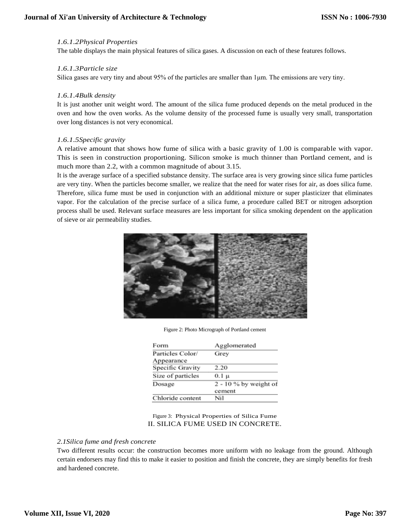## *1.6.1.2Physical Properties*

The table displays the main physical features of silica gases. A discussion on each of these features follows.

## *1.6.1.3Particle size*

Silica gases are very tiny and about  $95\%$  of the particles are smaller than 1  $\mu$ m. The emissions are very tiny.

## *1.6.1.4Bulk density*

It is just another unit weight word. The amount of the silica fume produced depends on the metal produced in the oven and how the oven works. As the volume density of the processed fume is usually very small, transportation over long distances is not very economical.

## *1.6.1.5Specific gravity*

A relative amount that shows how fume of silica with a basic gravity of 1.00 is comparable with vapor. This is seen in construction proportioning. Silicon smoke is much thinner than Portland cement, and is much more than 2.2, with a common magnitude of about 3.15.

It is the average surface of a specified substance density. The surface area is very growing since silica fume particles are very tiny. When the particles become smaller, we realize that the need for water rises for air, as does silica fume. Therefore, silica fume must be used in conjunction with an additional mixture or super plasticizer that eliminates vapor. For the calculation of the precise surface of a silica fume, a procedure called BET or nitrogen adsorption process shall be used. Relevant surface measures are less important for silica smoking dependent on the application of sieve or air permeability studies.



Figure 2: Photo Micrograph of Portland cement

| Form              | Agglomerated          |  |  |  |  |
|-------------------|-----------------------|--|--|--|--|
| Particles Color/  | Grey                  |  |  |  |  |
| Appearance        |                       |  |  |  |  |
| Specific Gravity  | 2.20                  |  |  |  |  |
| Size of particles | 0.1 µ                 |  |  |  |  |
| Dosage            | 2 - 10 % by weight of |  |  |  |  |
|                   | cement                |  |  |  |  |
| Chloride content  | Nil                   |  |  |  |  |

Figure 3: Physical Properties of Silica Fume II. SILICA FUME USED IN CONCRETE.

## *2.1Silica fume and fresh concrete*

Two different results occur: the construction becomes more uniform with no leakage from the ground. Although certain endorsers may find this to make it easier to position and finish the concrete, they are simply benefits for fresh and hardened concrete.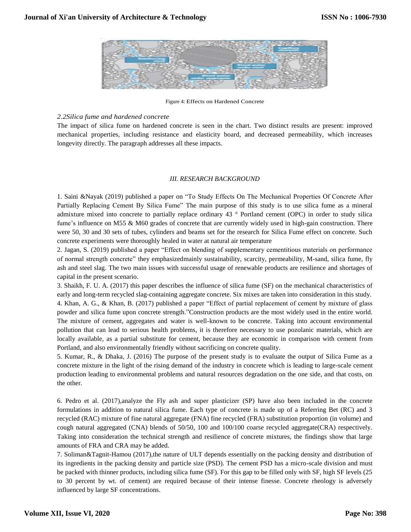

Figure 4: Effects on Hardened Concrete

## *2.2Silica fume and hardened concrete*

The impact of silica fume on hardened concrete is seen in the chart. Two distinct results are present: improved mechanical properties, including resistance and elasticity board, and decreased permeability, which increases longevity directly. The paragraph addresses all these impacts.

## *III. RESEARCH BACKGROUND*

1. Saini &Nayak (2019) published a paper on "To Study Effects On The Mechanical Properties Of Concrete After Partially Replacing Cement By Silica Fume" The main purpose of this study is to use silica fume as a mineral admixture mixed into concrete to partially replace ordinary 43 ° Portland cement (OPC) in order to study silica fume's influence on M55 & M60 grades of concrete that are currently widely used in high-gain construction. There were 50, 30 and 30 sets of tubes, cylinders and beams set for the research for Silica Fume effect on concrete. Such concrete experiments were thoroughly healed in water at natural air temperature

2. Jagan, S. (2019) published a paper "Effect on blending of supplementary cementitious materials on performance of normal strength concrete" they emphasizedmainly sustainability, scarcity, permeability, M-sand, silica fume, fly ash and steel slag. The two main issues with successful usage of renewable products are resilience and shortages of capital in the present scenario.

3. Shaikh, F. U. A. (2017) this paper describes the influence of silica fume (SF) on the mechanical characteristics of early and long-term recycled slag-containing aggregate concrete. Six mixes are taken into consideration in this study. 4. Khan, A. G., & Khan, B. (2017) published a paper "Effect of partial replacement of cement by mixture of glass powder and silica fume upon concrete strength."Construction products are the most widely used in the entire world. The mixture of cement, aggregates and water is well-known to be concrete. Taking into account environmental pollution that can lead to serious health problems, it is therefore necessary to use pozolanic materials, which are locally available, as a partial substitute for cement, because they are economic in comparison with cement from Portland, and also environmentally friendly without sacrificing on concrete quality.

5. Kumar, R., & Dhaka, J. (2016) The purpose of the present study is to evaluate the output of Silica Fume as a concrete mixture in the light of the rising demand of the industry in concrete which is leading to large-scale cement production leading to environmental problems and natural resources degradation on the one side, and that costs, on the other.

6. Pedro et al. (2017),analyze the Fly ash and super plasticizer (SP) have also been included in the concrete formulations in addition to natural silica fume. Each type of concrete is made up of a Referring Bet (RC) and 3 recycled (RAC) mixture of fine natural aggregate (FNA) fine recycled (FRA) substitution proportion (in volume) and cough natural aggregated (CNA) blends of 50/50, 100 and 100/100 coarse recycled aggregate(CRA) respectively. Taking into consideration the technical strength and resilience of concrete mixtures, the findings show that large amounts of FRA and CRA may be added.

7. Soliman&Tagnit-Hamou (2017),the nature of ULT depends essentially on the packing density and distribution of its ingredients in the packing density and particle size (PSD). The cement PSD has a micro-scale division and must be packed with thinner products, including silica fume (SF). For this gap to be filled only with SF, high SF levels (25 to 30 percent by wt. of cement) are required because of their intense finesse. Concrete rheology is adversely influenced by large SF concentrations.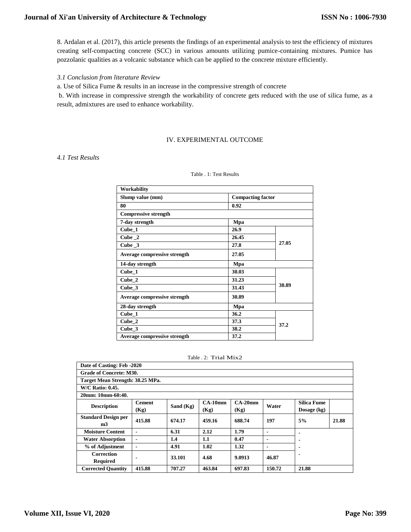8. Ardalan et al. (2017), this article presents the findings of an experimental analysis to test the efficiency of mixtures creating self-compacting concrete (SCC) in various amounts utilizing pumice-containing mixtures. Pumice has pozzolanic qualities as a volcanic substance which can be applied to the concrete mixture efficiently.

## *3.1 Conclusion from literature Review*

a. Use of Silica Fume & results in an increase in the compressive strength of concrete

b. With increase in compressive strength the workability of concrete gets reduced with the use of silica fume, as a result, admixtures are used to enhance workability.

## IV. EXPERIMENTAL OUTCOME

*4.1 Test Results*

## Table . 1: Test Results

| Workability                  |                          |       |  |
|------------------------------|--------------------------|-------|--|
| Slump value (mm)             | <b>Compacting factor</b> |       |  |
| 80                           | 0.92                     |       |  |
| <b>Compressive strength</b>  |                          |       |  |
| 7-day strength               | Mpa                      |       |  |
| Cube_1                       | 26.9                     |       |  |
| Cube $\_2$                   | 26.45                    |       |  |
| Cube 3                       | 27.8                     | 27.05 |  |
| Average compressive strength | 27.05                    |       |  |
| 14-day strength              | Mpa                      |       |  |
| Cube 1                       | 30.03                    |       |  |
| Cube_2                       | 31.23                    |       |  |
| Cube 3                       | 31.43                    | 30.89 |  |
| Average compressive strength | 30.89                    |       |  |
| 28-day strength              | Mpa                      |       |  |
| $Cube_1$                     | 36.2                     |       |  |
| Cube_2                       | 37.3                     | 37.2  |  |
| Cube 3                       | 38.2                     |       |  |
| Average compressive strength | 37.2                     |       |  |

|  | Table. 2: Trial Mix2 |
|--|----------------------|
|  |                      |

| Date of Casting: Feb -2020                   |                                  |           |           |           |        |                    |       |  |
|----------------------------------------------|----------------------------------|-----------|-----------|-----------|--------|--------------------|-------|--|
| <b>Grade of Concrete: M30.</b>               |                                  |           |           |           |        |                    |       |  |
|                                              | Target Mean Strength: 38.25 MPa. |           |           |           |        |                    |       |  |
| <b>W/C Ratio: 0.45.</b>                      |                                  |           |           |           |        |                    |       |  |
| 20mm: 10mm-60:40.                            |                                  |           |           |           |        |                    |       |  |
| <b>Description</b>                           | <b>Cement</b>                    | Sand (Kg) | $CA-10mm$ | $CA-20mm$ | Water  | <b>Silica Fume</b> |       |  |
|                                              | (Kg)                             |           | (Kg)      | (Kg)      |        | Dosage (kg)        |       |  |
| <b>Standard Design per</b><br>m <sub>3</sub> | 415.88                           | 674.17    | 459.16    | 688.74    | 197    | 5%                 | 21.88 |  |
| <b>Moisture Content</b>                      |                                  | 6.31      | 2.12      | 1.79      |        |                    |       |  |
| <b>Water Absorption</b>                      |                                  | 1.4       | 1.1       | 0.47      | -      |                    |       |  |
| % of Adjustment                              |                                  | 4.91      | 1.02      | 1.32      | -      |                    |       |  |
| <b>Correction</b>                            |                                  | 33.101    | 4.68      | 9.0913    | 46.87  |                    |       |  |
| <b>Required</b>                              |                                  |           |           |           |        |                    |       |  |
| <b>Corrected Quantity</b>                    | 415.88                           | 707.27    | 463.84    | 697.83    | 150.72 | 21.88              |       |  |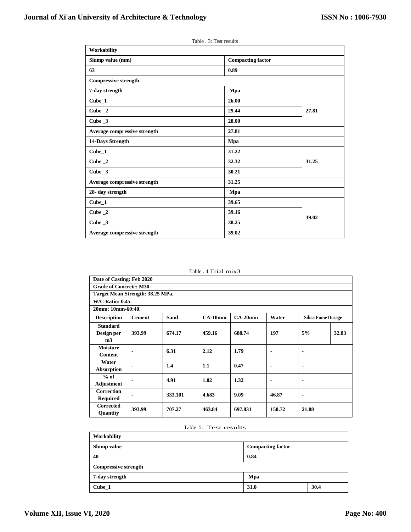Table . 3: Test results

| Workability                  |                          |       |
|------------------------------|--------------------------|-------|
| Slump value (mm)             | <b>Compacting factor</b> |       |
| 63                           | 0.89                     |       |
| <b>Compressive strength</b>  |                          |       |
| 7-day strength               | Mpa                      |       |
| $Cube_1$                     | 26.00                    |       |
| Cube_2                       | 29.44                    | 27.81 |
| Cube $_3$                    | 28.00                    |       |
| Average compressive strength | 27.81                    |       |
| 14-Days Strength             | Mpa                      |       |
| $Cube_1$                     | 31.22                    |       |
| Cube $\_2$                   | 32.32                    | 31.25 |
| Cube $_3$                    | 30.21                    |       |
| Average compressive strength | 31.25                    |       |
| 28- day strength             | Mpa                      |       |
| $Cube_1$                     | 39.65                    |       |
| Cube $\_2$                   | 39.16                    | 39.02 |
| Cube $_3$                    | 38.25                    |       |
| Average compressive strength | 39.02                    |       |

Table . 4:Trial mix3

|                                                 | Date of Casting: Feb 2020        |         |           |           |        |                           |       |  |
|-------------------------------------------------|----------------------------------|---------|-----------|-----------|--------|---------------------------|-------|--|
|                                                 | <b>Grade of Concrete: M30.</b>   |         |           |           |        |                           |       |  |
|                                                 | Target Mean Strength: 38.25 MPa. |         |           |           |        |                           |       |  |
|                                                 | <b>W/C Ratio: 0.45.</b>          |         |           |           |        |                           |       |  |
| 20mm: 10mm-60:40.                               |                                  |         |           |           |        |                           |       |  |
| <b>Description</b>                              | <b>Cement</b>                    | Sand    | $CA-10mm$ | $CA-20mm$ | Water  | <b>Silica Fume Dosage</b> |       |  |
| <b>Standard</b><br>Design per<br>m <sub>3</sub> | 393.99                           | 674.17  | 459.16    | 688.74    | 197    | 5%                        | 32.83 |  |
| <b>Moisture</b><br>Content                      |                                  | 6.31    | 2.12      | 1.79      |        | $\blacksquare$            |       |  |
| Water<br>Absorption                             |                                  | 1.4     | 1.1       | 0.47      |        | $\blacksquare$            |       |  |
| $%$ of<br><b>Adjustment</b>                     |                                  | 4.91    | 1.02      | 1.32      |        | $\blacksquare$            |       |  |
| <b>Correction</b><br><b>Required</b>            |                                  | 333.101 | 4.683     | 9.09      | 46.87  | $\blacksquare$            |       |  |
| <b>Corrected</b><br>Quantity                    | 393.99                           | 707.27  | 463.84    | 697.831   | 150.72 | 21.88                     |       |  |

#### Table 5: Test results

| <b>Workability</b>          |                          |      |
|-----------------------------|--------------------------|------|
| Slump value                 | <b>Compacting factor</b> |      |
| 40                          | 0.84                     |      |
| <b>Compressive strength</b> |                          |      |
| 7-day strength              | Mpa                      |      |
| Cube 1                      | 31.0                     | 30.4 |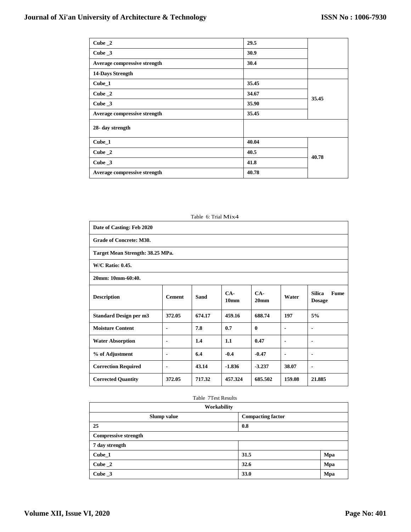| Cube $\_2$                   | 29.5  |       |  |
|------------------------------|-------|-------|--|
| Cube $_3$                    | 30.9  |       |  |
| Average compressive strength | 30.4  |       |  |
| 14-Days Strength             |       |       |  |
| Cube_1                       | 35.45 |       |  |
| Cube $\_\,2$                 | 34.67 | 35.45 |  |
| Cube $\mathbf{\_3}$          | 35.90 |       |  |
| Average compressive strength | 35.45 |       |  |
| 28- day strength             |       |       |  |
| $Cube_1$                     | 40.04 |       |  |
| Cube $\_\,2$                 | 40.5  | 40.78 |  |
| Cube $\_\,$ 3                | 41.8  |       |  |
| Average compressive strength | 40.78 |       |  |

|                                                                                                                                                                 |                | Table 6: Trial Mix4 |          |              |                |                |  |
|-----------------------------------------------------------------------------------------------------------------------------------------------------------------|----------------|---------------------|----------|--------------|----------------|----------------|--|
| Date of Casting: Feb 2020                                                                                                                                       |                |                     |          |              |                |                |  |
| <b>Grade of Concrete: M30.</b>                                                                                                                                  |                |                     |          |              |                |                |  |
| Target Mean Strength: 38.25 MPa.                                                                                                                                |                |                     |          |              |                |                |  |
| <b>W/C Ratio: 0.45.</b>                                                                                                                                         |                |                     |          |              |                |                |  |
| 20mm: 10mm-60:40.                                                                                                                                               |                |                     |          |              |                |                |  |
| $CA-$<br>$CA-$<br><b>Silica</b><br><b>Fume</b><br><b>Description</b><br>Sand<br>Water<br><b>Cement</b><br>10 <sub>mm</sub><br>20 <sub>mm</sub><br><b>Dosage</b> |                |                     |          |              |                |                |  |
| <b>Standard Design per m3</b>                                                                                                                                   | 372.05         | 674.17              | 459.16   | 688.74       | 197            | 5%             |  |
| <b>Moisture Content</b>                                                                                                                                         | $\blacksquare$ | 7.8                 | 0.7      | $\mathbf{0}$ | $\blacksquare$ | $\blacksquare$ |  |
| <b>Water Absorption</b>                                                                                                                                         |                | 1.4                 | 1.1      | 0.47         | $\blacksquare$ | $\blacksquare$ |  |
| % of Adjustment                                                                                                                                                 | $\blacksquare$ | 6.4                 | $-0.4$   | $-0.47$      | $\blacksquare$ | $\blacksquare$ |  |
| <b>Correction Required</b>                                                                                                                                      |                | 43.14               | $-1.836$ | $-3.237$     | 38.07          | $\blacksquare$ |  |
| <b>Corrected Quantity</b>                                                                                                                                       | 372.05         | 717.32              | 457.324  | 685.502      | 159.08         | 21.885         |  |

## Table 7Test Results

| Workability                 |                          |     |  |  |
|-----------------------------|--------------------------|-----|--|--|
| Slump value                 | <b>Compacting factor</b> |     |  |  |
| 25                          | 0.8                      |     |  |  |
| <b>Compressive strength</b> |                          |     |  |  |
| 7 day strength              |                          |     |  |  |
| Cube_1                      | 31.5                     | Mpa |  |  |
| Cube $\_2$                  | 32.6                     | Mpa |  |  |
| Cube $\mathbf{\_3}$         | 33.0                     | Mpa |  |  |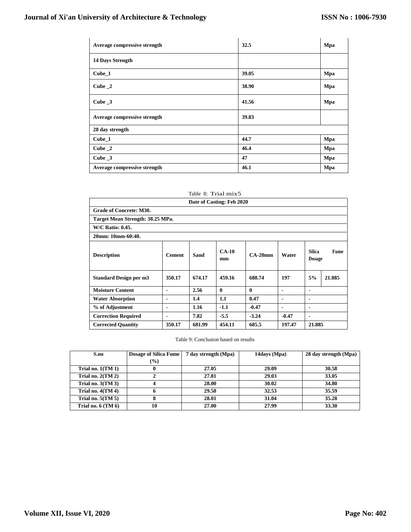| Average compressive strength | 32.5  | Mpa |
|------------------------------|-------|-----|
| <b>14 Days Strength</b>      |       |     |
| $Cube_1$                     | 39.05 | Mpa |
| Cube $\_\,2$                 | 38.90 | Mpa |
| Cube $\_\,$ 3                | 41.56 | Mpa |
| Average compressive strength | 39.83 |     |
| 28 day strength              |       |     |
| $Cube_1$                     | 44.7  | Mpa |
| Cube 2                       | 46.4  | Mpa |
| Cube $\mathbf{\_3}$          | 47    | Mpa |
| Average compressive strength | 46.1  | Mpa |

| Date of Casting: Feb 2020        |                |        |               |           |                |                                |             |
|----------------------------------|----------------|--------|---------------|-----------|----------------|--------------------------------|-------------|
| <b>Grade of Concrete: M30.</b>   |                |        |               |           |                |                                |             |
| Target Mean Strength: 38.25 MPa. |                |        |               |           |                |                                |             |
| <b>W/C Ratio: 0.45.</b>          |                |        |               |           |                |                                |             |
| 20mm: 10mm-60:40.                |                |        |               |           |                |                                |             |
| <b>Description</b>               | <b>Cement</b>  | Sand   | $CA-10$<br>mm | $CA-20mm$ | Water          | <b>Silica</b><br><b>Dosage</b> | <b>Fume</b> |
| Standard Design per m3           | 350.17         | 674.17 | 459.16        | 688.74    | 197            | 5%                             | 21.885      |
| <b>Moisture Content</b>          | $\blacksquare$ | 2.56   | $\mathbf{0}$  | 0         | $\blacksquare$ |                                |             |
| <b>Water Absorption</b>          | $\blacksquare$ | 1.4    | 1.1           | 0.47      | $\blacksquare$ | -                              |             |
| % of Adjustment                  | $\blacksquare$ | 1.16   | $-1.1$        | $-0.47$   | $\blacksquare$ | $\blacksquare$                 |             |
| <b>Correction Required</b>       | $\blacksquare$ | 7.82   | $-5.5$        | $-3.24$   | $-0.47$        | $\blacksquare$                 |             |
| <b>Corrected Quantity</b>        | 350.17         | 681.99 | 454.11        | 685.5     | 197.47         | 21.885                         |             |

Table 8: Trial mix5

Table 9: Conclusion based on results

| S.no                    | <b>Dosage of Silica Fume</b> | 7 day strength (Mpa) | 14days (Mpa) | 28 day strength (Mpa) |
|-------------------------|------------------------------|----------------------|--------------|-----------------------|
|                         | $\frac{1}{2}$                |                      |              |                       |
| Trial no. $1(TM 1)$     |                              | 27.05                | 29.09        | 30.58                 |
| Trial no. $2(TM 2)$     |                              | 27.81                | 29.03        | 33.05                 |
| Trial no. $3(TM3)$      |                              | 28.00                | 30.02        | 34.80                 |
| Trial no. $4(TM 4)$     |                              | 29.58                | 32.53        | 35.59                 |
| Trial no. $5(TM 5)$     | о                            | 28.01                | 31.04        | 35.28                 |
| Trial no. $6$ (TM $6$ ) | 10                           | 27.00                | 27.99        | 33.30                 |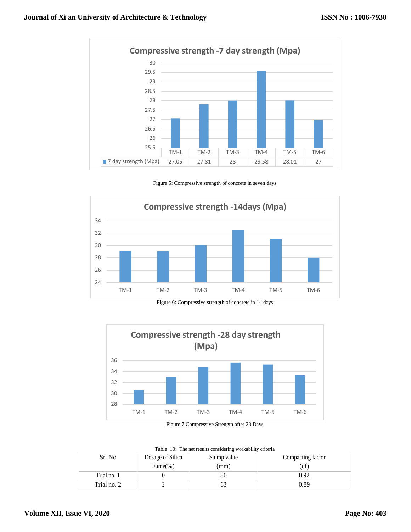

Figure 5: Compressive strength of concrete in seven days



Figure 6: Compressive strength of concrete in 14 days



Figure 7 Compressive Strength after 28 Days

|  |  | Table 10: The net results considering workability criteria |  |
|--|--|------------------------------------------------------------|--|
|  |  |                                                            |  |

| Sr. No      | Dosage of Silica | Slump value | Compacting factor |
|-------------|------------------|-------------|-------------------|
|             | Fume $(\%)$      | (mm)        | (cf)              |
| Trial no. 1 |                  | 80          | 0.92              |
| Trial no. 2 |                  |             | 0.89              |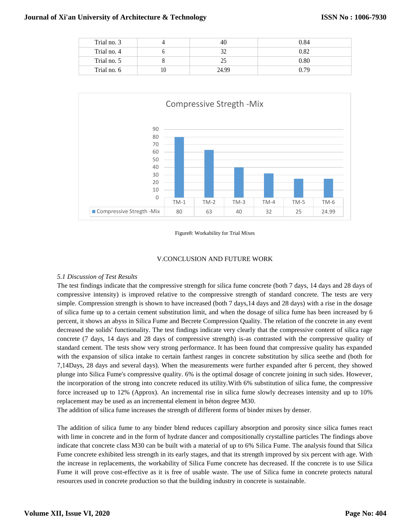| Trial no. 3 | 40    | 0.84 |
|-------------|-------|------|
| Trial no. 4 | 32    | 0.82 |
| Trial no. 5 |       | 0.80 |
| Trial no. 6 | 24.99 | 0.79 |



#### Figure8: Workability for Trial Mixes

## V.CONCLUSION AND FUTURE WORK

## *5.1 Discussion of Test Results*

The test findings indicate that the compressive strength for silica fume concrete (both 7 days, 14 days and 28 days of compressive intensity) is improved relative to the compressive strength of standard concrete. The tests are very simple. Compression strength is shown to have increased (both 7 days,14 days and 28 days) with a rise in the dosage of silica fume up to a certain cement substitution limit, and when the dosage of silica fume has been increased by 6 percent, it shows an abyss in Silica Fume and Becrete Compression Quality. The relation of the concrete in any event decreased the solids' functionality. The test findings indicate very clearly that the compressive content of silica rage concrete (7 days, 14 days and 28 days of compressive strength) is-as contrasted with the compressive quality of standard cement. The tests show very strong performance. It has been found that compressive quality has expanded with the expansion of silica intake to certain farthest ranges in concrete substitution by silica seethe and (both for 7,14Days, 28 days and several days). When the measurements were further expanded after 6 percent, they showed plunge into Silica Fume's compressive quality. 6% is the optimal dosage of concrete joining in such sides. However, the incorporation of the strong into concrete reduced its utility.With 6% substitution of silica fume, the compressive force increased up to 12% (Approx). An incremental rise in silica fume slowly decreases intensity and up to 10% replacement may be used as an incremental element in béton degree M30.

The addition of silica fume increases the strength of different forms of binder mixes by denser.

The addition of silica fume to any binder blend reduces capillary absorption and porosity since silica fumes react with lime in concrete and in the form of hydrate dancer and compositionally crystalline particles The findings above indicate that concrete class M30 can be built with a material of up to 6% Silica Fume. The analysis found that Silica Fume concrete exhibited less strength in its early stages, and that its strength improved by six percent with age. With the increase in replacements, the workability of Silica Fume concrete has decreased. If the concrete is to use Silica Fume it will prove cost-effective as it is free of usable waste. The use of Silica fume in concrete protects natural resources used in concrete production so that the building industry in concrete is sustainable.